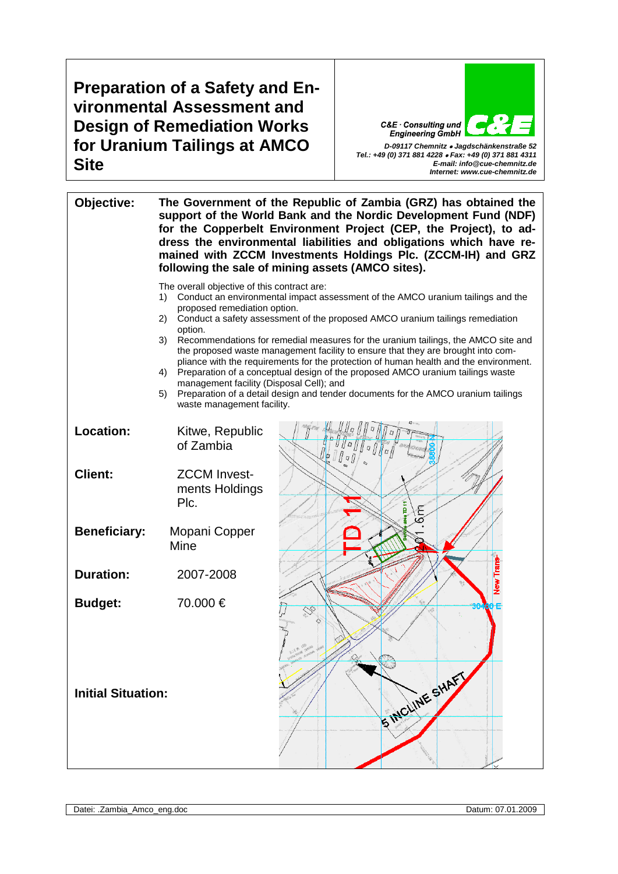## **Preparation of a Safety and Environmental Assessment and Design of Remediation Works for Uranium Tailings at AMCO Site**

C&E · Consulting und **Engineering GmbH** *D-09117 Chemnitz* • *Jagdschänkenstraße 52 Tel.: +49 (0) 371 881 4228* • *Fax: +49 (0) 371 881 4311 E-mail: info@cue-chemnitz.de*

*Internet: www.cue-chemnitz.de*

**Objective: The Government of the Republic of Zambia (GRZ) has obtained the support of the World Bank and the Nordic Development Fund (NDF) for the Copperbelt Environment Project (CEP, the Project), to address the environmental liabilities and obligations which have remained with ZCCM Investments Holdings Plc. (ZCCM-IH) and GRZ following the sale of mining assets (AMCO sites).** The overall objective of this contract are: 1) Conduct an environmental impact assessment of the AMCO uranium tailings and the proposed remediation option. 2) Conduct a safety assessment of the proposed AMCO uranium tailings remediation option. 3) Recommendations for remedial measures for the uranium tailings, the AMCO site and the proposed waste management facility to ensure that they are brought into compliance with the requirements for the protection of human health and the environment. 4) Preparation of a conceptual design of the proposed AMCO uranium tailings waste management facility (Disposal Cell); and 5) Preparation of a detail design and tender documents for the AMCO uranium tailings waste management facility. **Location:** Kitwe, Republic of Zambia **Client:** ZCCM Investments Holdings Plc. **Beneficiary:** Mopani Copper **Mine Duration:** 2007-2008 **Budget:** 70.000 €  $\overline{\mathbb{S}}$ S INCLINE SHAFT **Initial Situation:**